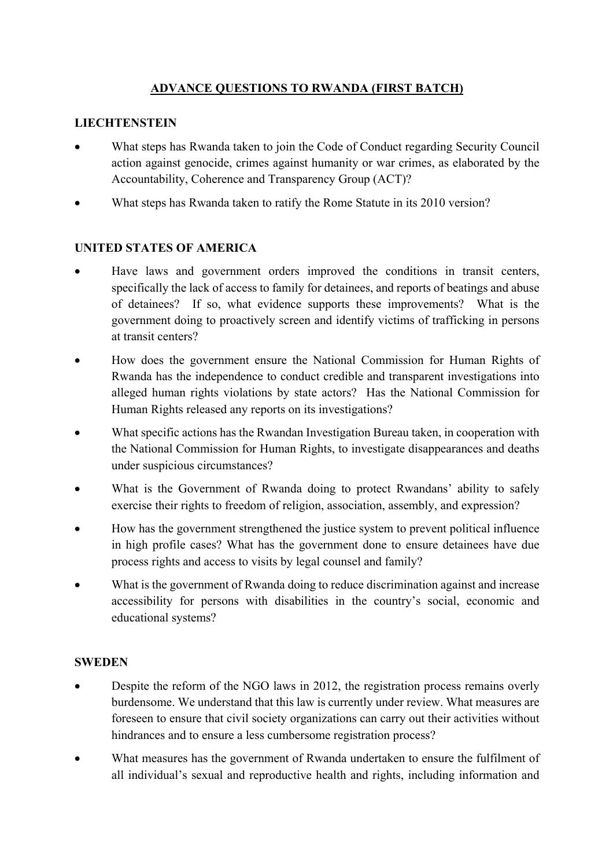### **ADVANCE QUESTIONS TO RWANDA (FIRST BATCH)**

### **LIECHTENSTEIN**

- What steps has Rwanda taken to join the Code of Conduct regarding Security Council action against genocide, crimes against humanity or war crimes, as elaborated by the Accountability, Coherence and Transparency Group (ACT)?
- What steps has Rwanda taken to ratify the Rome Statute in its 2010 version?

## **UNITED STATES OF AMERICA**

- Have laws and government orders improved the conditions in transit centers, specifically the lack of access to family for detainees, and reports of beatings and abuse of detainees? If so, what evidence supports these improvements? What is the government doing to proactively screen and identify victims of trafficking in persons at transit centers?
- How does the government ensure the National Commission for Human Rights of Rwanda has the independence to conduct credible and transparent investigations into alleged human rights violations by state actors? Has the National Commission for Human Rights released any reports on its investigations?
- What specific actions has the Rwandan Investigation Bureau taken, in cooperation with the National Commission for Human Rights, to investigate disappearances and deaths under suspicious circumstances?
- What is the Government of Rwanda doing to protect Rwandans' ability to safely exercise their rights to freedom of religion, association, assembly, and expression?
- How has the government strengthened the justice system to prevent political influence in high profile cases? What has the government done to ensure detainees have due process rights and access to visits by legal counsel and family?
- What is the government of Rwanda doing to reduce discrimination against and increase accessibility for persons with disabilities in the country's social, economic and educational systems?

### **SWEDEN**

- Despite the reform of the NGO laws in 2012, the registration process remains overly burdensome. We understand that this law is currently under review. What measures are foreseen to ensure that civil society organizations can carry out their activities without hindrances and to ensure a less cumbersome registration process?
- What measures has the government of Rwanda undertaken to ensure the fulfilment of all individual's sexual and reproductive health and rights, including information and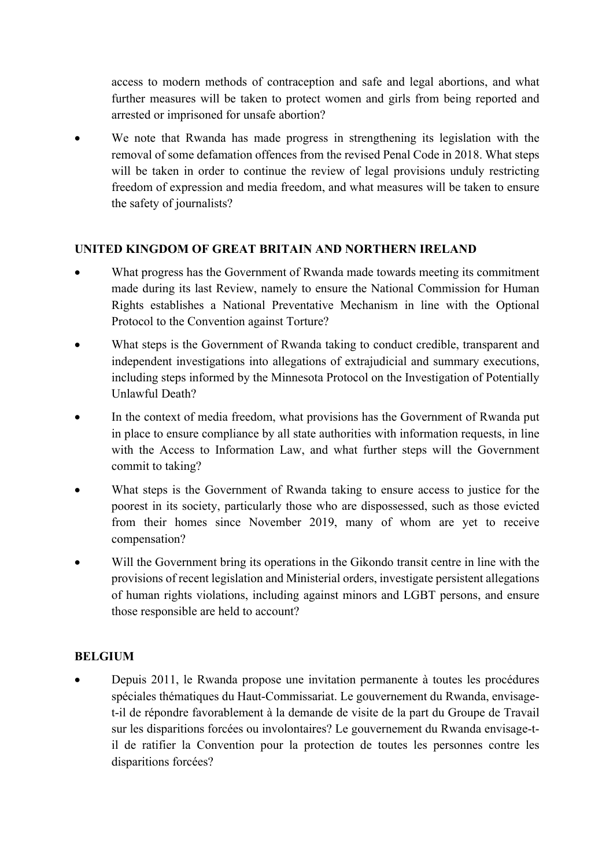access to modern methods of contraception and safe and legal abortions, and what further measures will be taken to protect women and girls from being reported and arrested or imprisoned for unsafe abortion?

We note that Rwanda has made progress in strengthening its legislation with the removal of some defamation offences from the revised Penal Code in 2018. What steps will be taken in order to continue the review of legal provisions unduly restricting freedom of expression and media freedom, and what measures will be taken to ensure the safety of journalists?

### **UNITED KINGDOM OF GREAT BRITAIN AND NORTHERN IRELAND**

- What progress has the Government of Rwanda made towards meeting its commitment made during its last Review, namely to ensure the National Commission for Human Rights establishes a National Preventative Mechanism in line with the Optional Protocol to the Convention against Torture?
- What steps is the Government of Rwanda taking to conduct credible, transparent and independent investigations into allegations of extrajudicial and summary executions, including steps informed by the Minnesota Protocol on the Investigation of Potentially Unlawful Death?
- In the context of media freedom, what provisions has the Government of Rwanda put in place to ensure compliance by all state authorities with information requests, in line with the Access to Information Law, and what further steps will the Government commit to taking?
- What steps is the Government of Rwanda taking to ensure access to justice for the poorest in its society, particularly those who are dispossessed, such as those evicted from their homes since November 2019, many of whom are yet to receive compensation?
- Will the Government bring its operations in the Gikondo transit centre in line with the provisions of recent legislation and Ministerial orders, investigate persistent allegations of human rights violations, including against minors and LGBT persons, and ensure those responsible are held to account?

### **BELGIUM**

• Depuis 2011, le Rwanda propose une invitation permanente à toutes les procédures spéciales thématiques du Haut-Commissariat. Le gouvernement du Rwanda, envisaget-il de répondre favorablement à la demande de visite de la part du Groupe de Travail sur les disparitions forcées ou involontaires? Le gouvernement du Rwanda envisage-til de ratifier la Convention pour la protection de toutes les personnes contre les disparitions forcées?